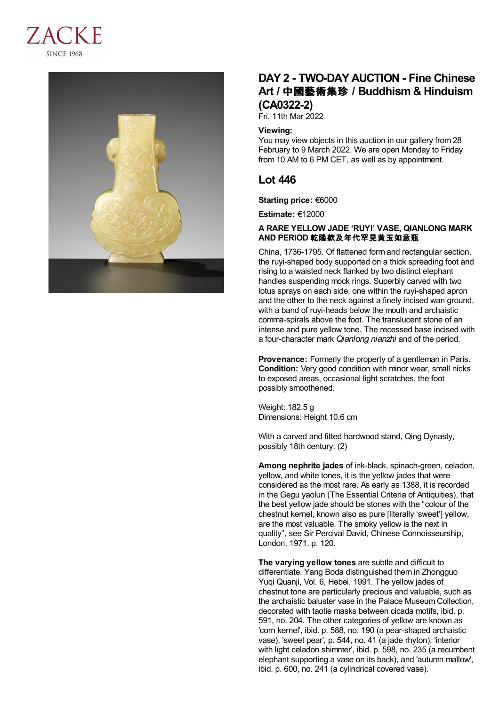



# **DAY 2 - TWO-DAY AUCTION - Fine Chinese Art /** 中國藝術集珍 **/ Buddhism & Hinduism (CA0322-2)**

Fri, 11th Mar 2022

### **Viewing:**

You may view objects in this auction in our gallery from 28 February to 9 March 2022. We are open Monday to Friday from 10 AM to 6 PM CET, as well as by appointment.

## **Lot 446**

**Starting price:** €6000

**Estimate:** €12000

### **A RARE YELLOW JADE 'RUYI' VASE, QIANLONG MARK AND PERIOD** 乾隆款及年代罕見黃玉如意瓶

China, 1736-1795. Of flattened form and rectangular section, the ruyi-shaped body supported on a thick spreading foot and rising to a waisted neck flanked by two distinct elephant handles suspending mock rings. Superbly carved with two lotus sprays on each side, one within the ruyi-shaped apron and the other to the neck against a finely incised wan ground, with a band of ruyi-heads below the mouth and archaistic comma-spirals above the foot. The translucent stone of an intense and pure yellow tone. The recessed base incised with a four-character mark *Qianlong nianzhi* and of the period.

**Provenance:** Formerly the property of a gentleman in Paris. **Condition:** Very good condition with minor wear, small nicks to exposed areas, occasional light scratches, the foot possibly smoothened.

Weight: 182.5 g Dimensions: Height 10.6 cm

With a carved and fitted hardwood stand, Qing Dynasty, possibly 18th century. (2)

**Among nephrite jades** of ink-black, spinach-green, celadon, yellow, and white tones, it is the yellow jades that were considered as the most rare. As early as 1388, it is recorded in the Gegu yaolun (The Essential Criteria of Antiquities), that the best yellow jade should be stones with the "colour of the chestnut kernel, known also as pure [literally 'sweet'] yellow, are the most valuable. The smoky yellow is the next in quality", see Sir Percival David, Chinese Connoisseurship, London, 1971, p. 120.

**The varying yellow tones** are subtle and difficult to differentiate. Yang Boda distinguished them in Zhongguo Yuqi Quanji, Vol. 6, Hebei, 1991. The yellow jades of chestnut tone are particularly precious and valuable, such as the archaistic baluster vase in the Palace Museum Collection, decorated with taotie masks between cicada motifs, ibid. p. 591, no. 204. The other categories of yellow are known as 'corn kernel', ibid. p. 588, no. 190 (a pear-shaped archaistic vase), 'sweet pear', p. 544, no. 41 (a jade rhyton), 'interior with light celadon shimmer', ibid. p. 598, no. 235 (a recumbent elephant supporting a vase on its back), and 'autumn mallow', ibid. p. 600, no. 241 (a cylindrical covered vase).